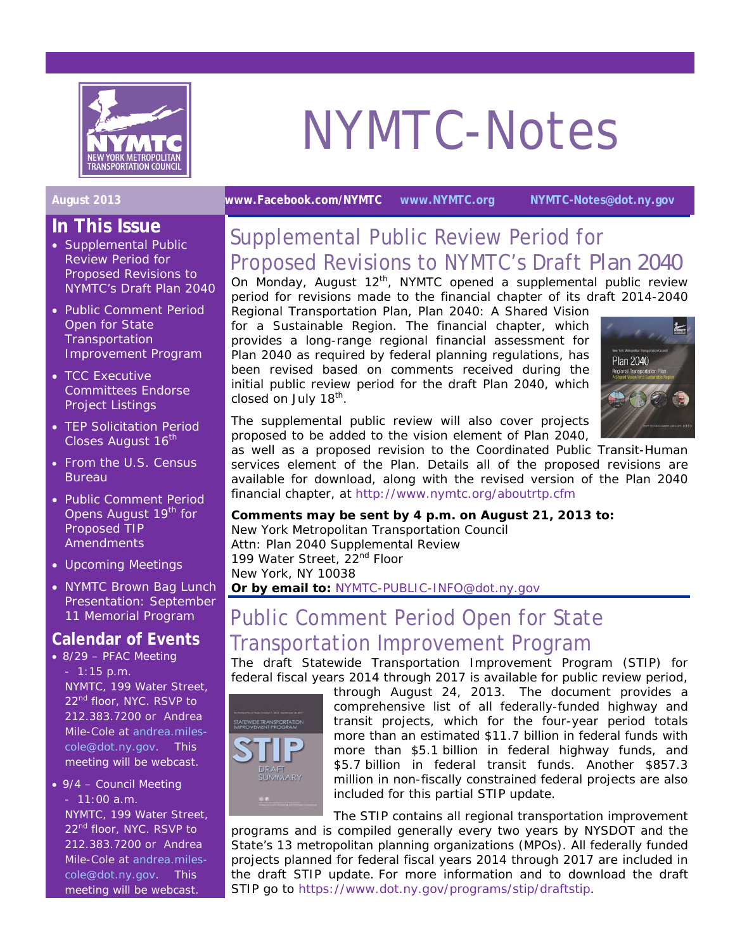

# NYMTC-Notes

- **In This Issue**  • Supplemental Public Review Period for Proposed Revisions to NYMTC's Draft *Plan 2040*
- Public Comment Period Open for State **Transportation** Improvement Program
- TCC Executive Committees Endorse Project Listings
- TEP Solicitation Period Closes August 16<sup>th</sup>
- From the U.S. Census Bureau
- Public Comment Period Opens August 19<sup>th</sup> for Proposed TIP **Amendments**
- Upcoming Meetings
- NYMTC Brown Bag Lunch Presentation: September 11 Memorial Program

#### **Calendar of Events**

- 8/29 PFAC Meeting - 1:15 p.m. NYMTC, 199 Water Street, 22<sup>nd</sup> floor, NYC. RSVP to 212.383.7200 or Andrea Mile-Cole at andrea.milescole@dot.ny.gov. This meeting will be webcast.
- 9/4 Council Meeting - 11:00 a.m. NYMTC, 199 Water Street, 22<sup>nd</sup> floor, NYC. RSVP to 212.383.7200 or Andrea Mile-Cole at andrea.milescole@dot.ny.gov. This meeting will be webcast.

### **August 2013 www.Facebook.com/NYMTC www.NYMTC.org NYMTC-Notes@dot.ny.gov**

## Supplemental Public Review Period for Proposed Revisions to NYMTC's Draft *Plan 2040*

On Monday, August 12<sup>th</sup>, NYMTC opened a supplemental public review period for revisions made to the financial chapter of its draft 2014-2040

Regional Transportation Plan, *Plan 2040*: *A Shared Vision for a Sustainable Region.* The financial chapter, which provides a long-range regional financial assessment for *Plan 2040* as required by federal planning regulations, has been revised based on comments received during the initial public review period for the draft *Plan 2040*, which closed on July 18<sup>th</sup>.



The supplemental public review will also cover projects proposed to be added to the vision element of Plan 2040,

as well as a proposed revision to the Coordinated Public Transit-Human services element of the Plan. Details all of the proposed revisions are available for download, along with the revised version of the *Plan 2040*  financial chapter, at http://www.nymtc.org/aboutrtp.cfm

#### **Comments may be sent by 4 p.m. on August 21, 2013 to:**

New York Metropolitan Transportation Council Attn: Plan 2040 Supplemental Review 199 Water Street, 22<sup>nd</sup> Floor New York, NY 10038 **Or by email to:** NYMTC-PUBLIC-INFO@dot.ny.gov

## Public Comment Period Open for State Transportation Improvement Program

The draft Statewide Transportation Improvement Program (STIP) for federal fiscal years 2014 through 2017 is available for public review period,



through August 24, 2013. The document provides a comprehensive list of all federally-funded highway and transit projects, which for the four-year period totals more than an estimated \$11.7 billion in federal funds with more than \$5.1 billion in federal highway funds, and \$5.7 billion in federal transit funds. Another \$857.3 million in non-fiscally constrained federal projects are also included for this partial STIP update.

The STIP contains all regional transportation improvement programs and is compiled generally every two years by NYSDOT and the State's 13 metropolitan planning organizations (MPOs). All federally funded projects planned for federal fiscal years 2014 through 2017 are included in the draft STIP update. For more information and to download the draft STIP go to https://www.dot.ny.gov/programs/stip/draftstip.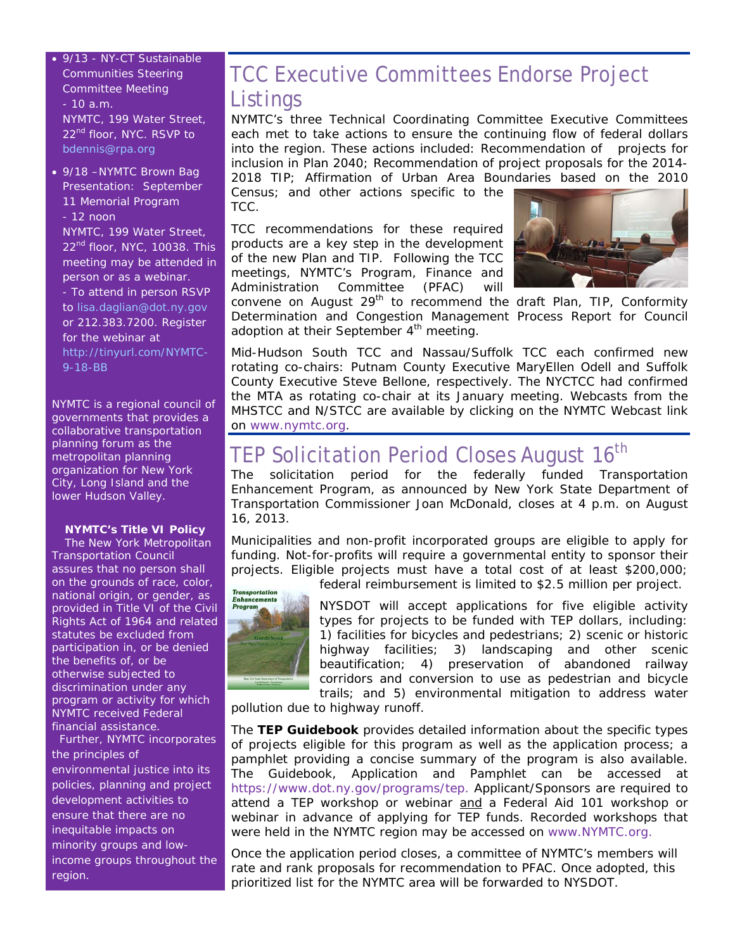• 9/13 - NY-CT Sustainable Communities Steering Committee Meeting - 10 a.m. NYMTC, 199 Water Street, 22<sup>nd</sup> floor, NYC. RSVP to bdennis@rpa.org

• 9/18 –NYMTC Brown Bag Presentation: September 11 Memorial Program - 12 noon NYMTC, 199 Water Street, 22<sup>nd</sup> floor, NYC, 10038. This meeting may be attended in person or as a webinar. - To attend in person RSVP to lisa.daglian@dot.ny.gov or 212.383.7200. Register for the webinar at http://tinyurl.com/NYMTC-9-18-BB

*NYMTC is a regional council of governments that provides a collaborative transportation planning forum as the metropolitan planning organization for New York City, Long Island and the lower Hudson Valley.*

#### **NYMTC's Title VI Policy**

*The New York Metropolitan Transportation Council assures that no person shall on the grounds of race, color, national origin, or gender, as provided in Title VI of the Civil Rights Act of 1964 and related statutes be excluded from participation in, or be denied the benefits of, or be otherwise subjected to discrimination under any program or activity for which NYMTC received Federal financial assistance.* 

 *Further, NYMTC incorporates the principles of environmental justice into its policies, planning and project development activities to ensure that there are no inequitable impacts on minority groups and lowincome groups throughout the region.*

## TCC Executive Committees Endorse Project Listings

NYMTC's three Technical Coordinating Committee Executive Committees each met to take actions to ensure the continuing flow of federal dollars into the region. These actions included: Recommendation of projects for inclusion in Plan 2040; Recommendation of project proposals for the 2014- 2018 TIP; Affirmation of Urban Area Boundaries based on the 2010

Census; and other actions specific to the TCC.

TCC recommendations for these required products are a key step in the development of the new Plan and TIP. Following the TCC meetings, NYMTC's Program, Finance and Administration Committee (PFAC) will



convene on August  $29<sup>th</sup>$  to recommend the draft Plan, TIP, Conformity Determination and Congestion Management Process Report for Council adoption at their September 4<sup>th</sup> meeting.

Mid-Hudson South TCC and Nassau/Suffolk TCC each confirmed new rotating co-chairs: Putnam County Executive MaryEllen Odell and Suffolk County Executive Steve Bellone, respectively. The NYCTCC had confirmed the MTA as rotating co-chair at its January meeting. Webcasts from the MHSTCC and N/STCC are available by clicking on the NYMTC Webcast link on www.nymtc.org.

## TEP Solicitation Period Closes August 16<sup>th</sup>

The solicitation period for the federally funded Transportation Enhancement Program, as announced by New York State Department of Transportation Commissioner Joan McDonald, closes at 4 p.m. on August 16, 2013.

Municipalities and non-profit incorporated groups are eligible to apply for funding. Not-for-profits will require a governmental entity to sponsor their projects. Eligible projects must have a total cost of at least \$200,000;

federal reimbursement is limited to \$2.5 million per project.



NYSDOT will accept applications for five eligible activity types for projects to be funded with TEP dollars, including: 1) facilities for bicycles and pedestrians; 2) scenic or historic highway facilities; 3) landscaping and other scenic beautification; 4) preservation of abandoned railway corridors and conversion to use as pedestrian and bicycle trails; and 5) environmental mitigation to address water

pollution due to highway runoff.

The *TEP Guidebook* provides detailed information about the specific types of projects eligible for this program as well as the application process; a pamphlet providing a concise summary of the program is also available. The Guidebook, Application and Pamphlet can be accessed at https://www.dot.ny.gov/programs/tep. Applicant/Sponsors are required to attend a TEP workshop or webinar and a Federal Aid 101 workshop or webinar in advance of applying for TEP funds. Recorded workshops that were held in the NYMTC region may be accessed on www.NYMTC.org.

Once the application period closes, a committee of NYMTC's members will rate and rank proposals for recommendation to PFAC. Once adopted, this prioritized list for the NYMTC area will be forwarded to NYSDOT.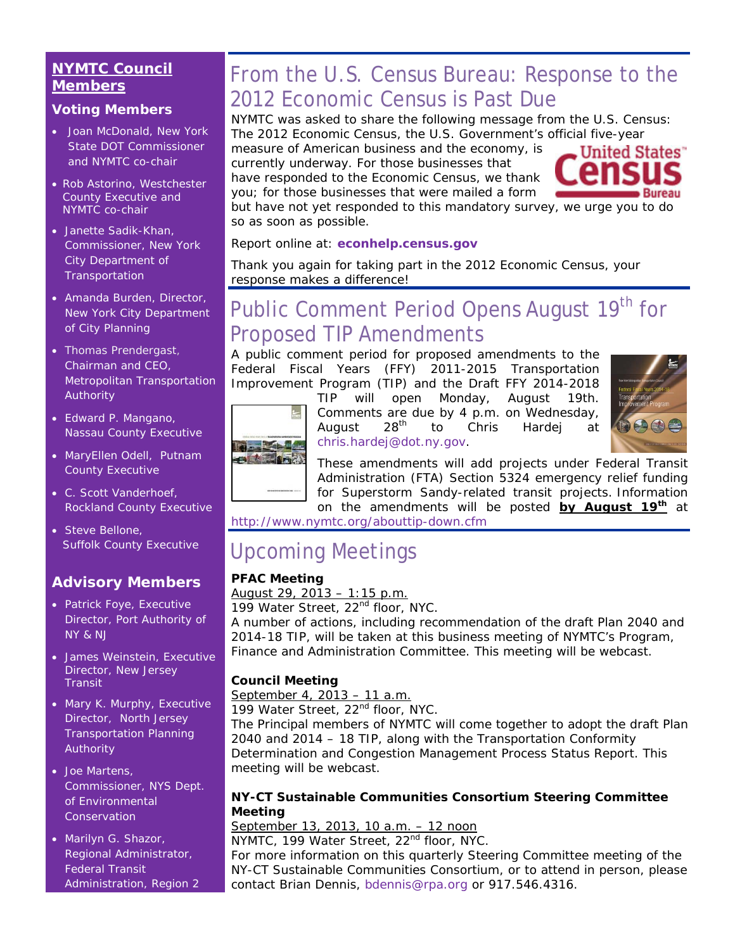#### **NYMTC Council Members**

#### **Voting Members**

- Joan McDonald, New York State DOT Commissioner and NYMTC co-chair
- Rob Astorino, Westchester County Executive and NYMTC co-chair
- Janette Sadik-Khan, Commissioner, New York City Department of **Transportation**
- Amanda Burden, Director, New York City Department of City Planning
- Thomas Prendergast, Chairman and CEO, Metropolitan Transportation Authority
- Edward P. Mangano, Nassau County Executive
- MaryEllen Odell, Putnam County Executive
- C. Scott Vanderhoef, Rockland County Executive
- Steve Bellone, Suffolk County Executive

#### **Advisory Members**

- Patrick Foye, Executive Director, Port Authority of NY & NJ
- James Weinstein, Executive Director, New Jersey **Transit**
- Mary K. Murphy, Executive Director, North Jersey Transportation Planning Authority
- Joe Martens, Commissioner, NYS Dept. of Environmental **Conservation**
- Marilyn G. Shazor, Regional Administrator, Federal Transit Administration, Region 2

## From the U.S. Census Bureau: Response to the 2012 Economic Census is Past Due

NYMTC was asked to share the following message from the U.S. Census: *The 2012 Economic Census, the U.S. Government's official five-year* 

*measure of American business and the economy, is currently underway. For those businesses that have responded to the Economic Census, we thank* 

*you; for those businesses that were mailed a form* 



*but have not yet responded to this mandatory survey, we urge you to do so as soon as possible.* 

*Report online at: econhelp.census.gov*

*Thank you again for taking part in the 2012 Economic Census, your response makes a difference!*

## Public Comment Period Opens August 19<sup>th</sup> for Proposed TIP Amendments

A public comment period for proposed amendments to the Federal Fiscal Years (FFY) 2011-2015 Transportation Improvement Program (TIP) and the Draft FFY 2014-2018



TIP will open Monday, August 19th. Comments are due by 4 p.m. on Wednesday, August  $28<sup>th</sup>$  to Chris Hardej at chris.hardej@dot.ny.gov.





These amendments will add projects under Federal Transit Administration (FTA) Section 5324 emergency relief funding for Superstorm Sandy-related transit projects. Information on the amendments will be posted **by August 19th** at

http://www.nymtc.org/abouttip-down.cfm

## Upcoming Meetings

#### **PFAC Meeting**

*August 29, 2013 – 1:15 p.m.* 199 Water Street, 22<sup>nd</sup> floor, NYC.

A number of actions, including recommendation of the draft Plan 2040 and 2014-18 TIP, will be taken at this business meeting of NYMTC's Program, Finance and Administration Committee. This meeting will be webcast.

#### **Council Meeting**

*September 4, 2013 – 11 a.m.*

199 Water Street, 22<sup>nd</sup> floor, NYC.

The Principal members of NYMTC will come together to adopt the draft Plan 2040 and 2014 – 18 TIP, along with the Transportation Conformity Determination and Congestion Management Process Status Report. This meeting will be webcast.

#### **NY-CT Sustainable Communities Consortium Steering Committee Meeting**

#### *September 13, 2013, 10 a.m. – 12 noon*

NYMTC, 199 Water Street, 22<sup>nd</sup> floor, NYC.

For more information on this quarterly Steering Committee meeting of the NY-CT Sustainable Communities Consortium, or to attend in person, please contact Brian Dennis, bdennis@rpa.org or 917.546.4316.